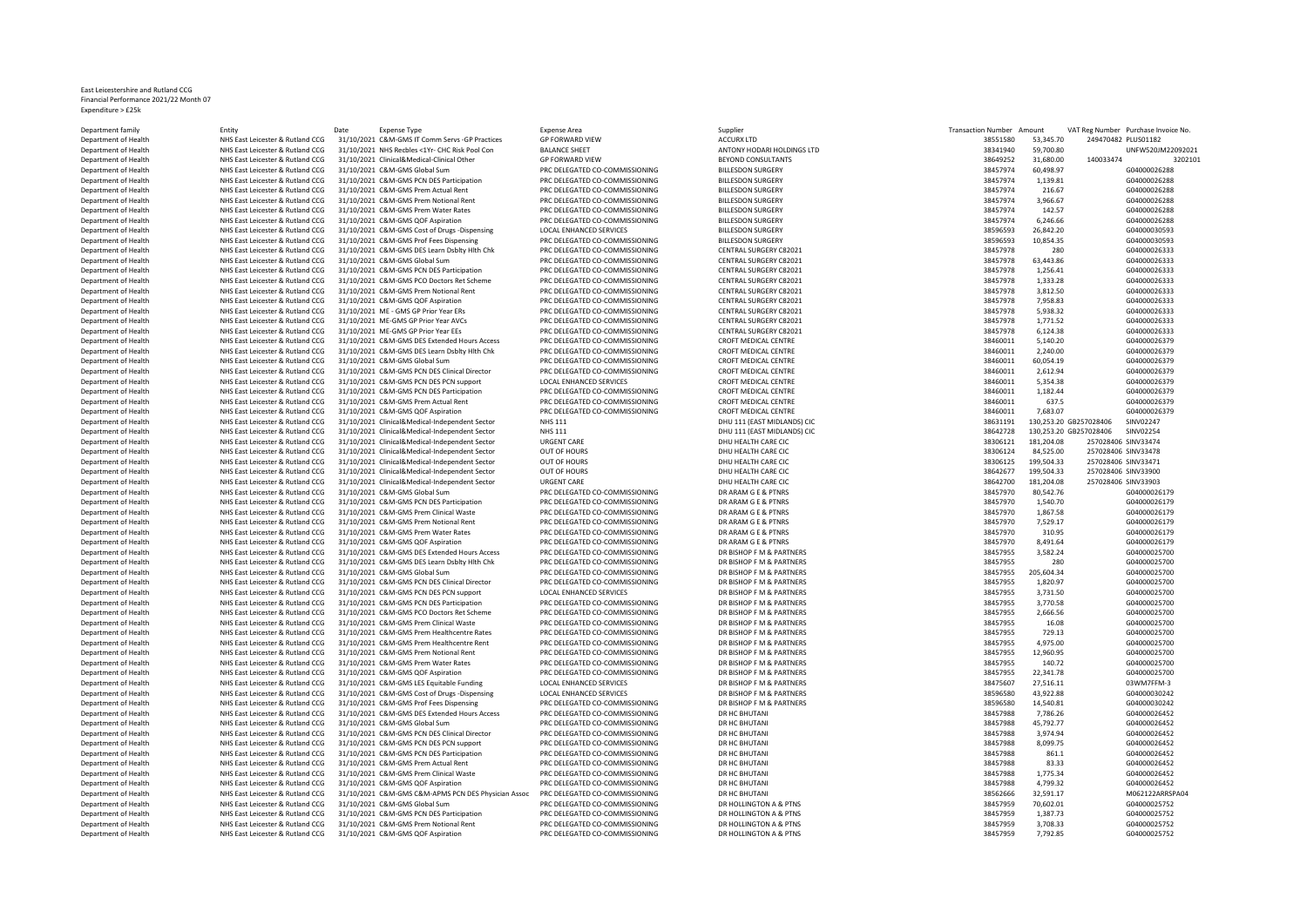## East Leicestershire and Rutland CCG Financial Performance 2021/22 Month 07 Expenditure > £25k

| Department family    | Entity                           | Date<br><b>Expense Type</b>                         | <b>Expense Area</b>            | Supplier                    | <b>Transaction Number</b> | Amount                 |                     | VAT Reg Number Purchase Invoice No. |
|----------------------|----------------------------------|-----------------------------------------------------|--------------------------------|-----------------------------|---------------------------|------------------------|---------------------|-------------------------------------|
| Department of Health | NHS East Leicester & Rutland CCG | 31/10/2021 C&M-GMS IT Comm Servs -GP Practices      | <b>GP FORWARD VIEW</b>         | <b>ACCURX LTD</b>           | 38551580                  | 53.345.70              | 249470482 PLUS01182 |                                     |
| Department of Health | NHS East Leicester & Rutland CCG | 31/10/2021 NHS Recbles <1Yr- CHC Risk Pool Con      | <b>BALANCE SHEET</b>           | ANTONY HODARI HOLDINGS LTD  | 38341940                  | 59,700.80              |                     | UNFW520JM22092021                   |
| Department of Health | NHS East Leicester & Rutland CCG | 31/10/2021 Clinical&Medical-Clinical Other          | <b>GP FORWARD VIEW</b>         | BEYOND CONSULTANTS          | 38649252                  | 31,680.00              | 140033474           | 3202101                             |
| Department of Health | NHS East Leicester & Rutland CCG | 31/10/2021 C&M-GMS Global Sum                       | PRC DELEGATED CO-COMMISSIONING | <b>BILLESDON SURGERY</b>    | 38457974                  | 60,498.97              |                     | G04000026288                        |
| Department of Health | NHS East Leicester & Rutland CCG | 31/10/2021 C&M-GMS PCN DES Participation            | PRC DELEGATED CO-COMMISSIONING | <b>BILLESDON SURGERY</b>    | 38457974                  | 1,139.81               |                     | G04000026288                        |
|                      |                                  |                                                     |                                |                             |                           |                        |                     |                                     |
| Department of Health | NHS East Leicester & Rutland CCG | 31/10/2021 C&M-GMS Prem Actual Rent                 | PRC DELEGATED CO-COMMISSIONING | <b>BILLESDON SURGERY</b>    | 38457974                  | 216.67                 |                     | G04000026288                        |
| Department of Health | NHS East Leicester & Rutland CCG | 31/10/2021 C&M-GMS Prem Notional Rent               | PRC DELEGATED CO-COMMISSIONING | <b>BILLESDON SURGERY</b>    | 38457974                  | 3,966.67               |                     | G04000026288                        |
| Department of Health | NHS East Leicester & Rutland CCG | 31/10/2021 C&M-GMS Prem Water Rates                 | PRC DELEGATED CO-COMMISSIONING | <b>BILLESDON SURGERY</b>    | 38457974                  | 142.57                 |                     | G04000026288                        |
| Department of Health | NHS East Leicester & Rutland CCG | 31/10/2021 C&M-GMS QOF Aspiration                   | PRC DELEGATED CO-COMMISSIONING | <b>BILLESDON SURGERY</b>    | 38457974                  | 6,246.66               |                     | G04000026288                        |
| Department of Health | NHS East Leicester & Rutland CCG | 31/10/2021 C&M-GMS Cost of Drugs -Dispensing        | <b>LOCAL ENHANCED SERVICES</b> | <b>BILLESDON SURGERY</b>    | 38596593                  | 26,842.20              |                     | G04000030593                        |
| Department of Health | NHS East Leicester & Rutland CCG | 31/10/2021 C&M-GMS Prof Fees Dispensing             | PRC DELEGATED CO-COMMISSIONING | <b>BILLESDON SURGERY</b>    | 38596593                  | 10,854.35              |                     | G04000030593                        |
| Department of Health | NHS East Leicester & Rutland CCG | 31/10/2021 C&M-GMS DES Learn Dsblty Hlth Chk        | PRC DELEGATED CO-COMMISSIONING | CENTRAL SURGERY C82021      | 38457978                  | 280                    |                     | G04000026333                        |
| Department of Health | NHS East Leicester & Rutland CCG | 31/10/2021 C&M-GMS Global Sum                       | PRC DELEGATED CO-COMMISSIONING | CENTRAL SURGERY C82021      | 38457978                  | 63.443.86              |                     | G04000026333                        |
| Department of Health | NHS East Leicester & Rutland CCG | 31/10/2021 C&M-GMS PCN DES Participation            | PRC DELEGATED CO-COMMISSIONING | CENTRAL SURGERY C82021      | 38457978                  | 1,256.41               |                     | G04000026333                        |
|                      |                                  |                                                     |                                |                             |                           |                        |                     |                                     |
| Department of Health | NHS East Leicester & Rutland CCG | 31/10/2021 C&M-GMS PCO Doctors Ret Scheme           | PRC DELEGATED CO-COMMISSIONING | CENTRAL SURGERY C82021      | 38457978                  | 1,333.28               |                     | G04000026333                        |
| Department of Health | NHS East Leicester & Rutland CCG | 31/10/2021 C&M-GMS Prem Notional Rent               | PRC DELEGATED CO-COMMISSIONING | CENTRAL SURGERY C82021      | 38457978                  | 3,812.50               |                     | G04000026333                        |
| Department of Health | NHS East Leicester & Rutland CCG | 31/10/2021 C&M-GMS QOF Aspiration                   | PRC DELEGATED CO-COMMISSIONING | CENTRAL SURGERY C82021      | 38457978                  | 7,958.83               |                     | G04000026333                        |
| Department of Health | NHS East Leicester & Rutland CCG | 31/10/2021 ME - GMS GP Prior Year ERs               | PRC DELEGATED CO-COMMISSIONING | CENTRAL SURGERY C82021      | 38457978                  | 5,938.32               |                     | G04000026333                        |
| Department of Health | NHS East Leicester & Rutland CCG | 31/10/2021 ME-GMS GP Prior Year AVCs                | PRC DELEGATED CO-COMMISSIONING | CENTRAL SURGERY C82021      | 38457978                  | 1,771.52               |                     | G04000026333                        |
| Department of Health | NHS East Leicester & Rutland CCG | 31/10/2021 ME-GMS GP Prior Year EEs                 | PRC DELEGATED CO-COMMISSIONING | CENTRAL SURGERY C82021      | 38457978                  | 6,124.38               |                     | G04000026333                        |
| Department of Health | NHS East Leicester & Rutland CCG | 31/10/2021 C&M-GMS DES Extended Hours Access        | PRC DELEGATED CO-COMMISSIONING | CROFT MEDICAL CENTRE        | 38460011                  | 5,140.20               |                     | G04000026379                        |
| Department of Health | NHS East Leicester & Rutland CCG | 31/10/2021 C&M-GMS DES Learn Dsbltv Hlth Chk        | PRC DELEGATED CO-COMMISSIONING | <b>CROFT MEDICAL CENTRE</b> | 38460011                  | 2.240.00               |                     | G04000026379                        |
|                      |                                  |                                                     |                                |                             |                           |                        |                     |                                     |
| Department of Health | NHS East Leicester & Rutland CCG | 31/10/2021 C&M-GMS Global Sum                       | PRC DELEGATED CO-COMMISSIONING | CROFT MEDICAL CENTRE        | 38460011                  | 60,054.19              |                     | G04000026379                        |
| Department of Health | NHS East Leicester & Rutland CCG | 31/10/2021 C&M-GMS PCN DES Clinical Director        | PRC DELEGATED CO-COMMISSIONING | <b>CROFT MEDICAL CENTRE</b> | 38460011                  | 2,612.94               |                     | G04000026379                        |
| Department of Health | NHS East Leicester & Rutland CCG | 31/10/2021 C&M-GMS PCN DES PCN support              | <b>LOCAL ENHANCED SERVICES</b> | <b>CROFT MEDICAL CENTRE</b> | 38460011                  | 5,354.38               |                     | G04000026379                        |
| Department of Health | NHS East Leicester & Rutland CCG | 31/10/2021 C&M-GMS PCN DES Participation            | PRC DELEGATED CO-COMMISSIONING | <b>CROFT MEDICAL CENTRE</b> | 38460011                  | 1,182.44               |                     | G04000026379                        |
| Department of Health | NHS East Leicester & Rutland CCG | 31/10/2021 C&M-GMS Prem Actual Rent                 | PRC DELEGATED CO-COMMISSIONING | <b>CROFT MEDICAL CENTRE</b> | 38460011                  | 637.5                  |                     | G04000026379                        |
| Department of Health | NHS East Leicester & Rutland CCG | 31/10/2021 C&M-GMS QOF Aspiration                   | PRC DELEGATED CO-COMMISSIONING | <b>CROFT MEDICAL CENTRE</b> | 38460011                  | 7,683.07               |                     | G04000026379                        |
| Department of Health | NHS East Leicester & Rutland CCG | 31/10/2021 Clinical&Medical-Independent Sector      | <b>NHS 111</b>                 | DHU 111 (EAST MIDLANDS) CIC | 38631191                  | 130,253.20 GB257028406 |                     | SINV02247                           |
| Department of Health | NHS East Leicester & Rutland CCG | 31/10/2021 Clinical&Medical-Independent Sector      | <b>NHS 111</b>                 | DHU 111 (EAST MIDLANDS) CIC | 38642728                  | 130.253.20 GB257028406 |                     | SINV02254                           |
| Department of Health | NHS East Leicester & Rutland CCG | 31/10/2021 Clinical&Medical-Independent Sector      | <b>URGENT CARE</b>             | DHU HEALTH CARE CIC         | 38306121                  | 181,204.08             | 257028406 SINV33474 |                                     |
|                      |                                  |                                                     |                                |                             |                           |                        |                     |                                     |
| Department of Health | NHS East Leicester & Rutland CCG | 31/10/2021 Clinical&Medical-Independent Sector      | <b>OUT OF HOURS</b>            | DHU HEALTH CARE CIC         | 38306124                  | 84,525.00              | 257028406 SINV33478 |                                     |
| Department of Health | NHS East Leicester & Rutland CCG | 31/10/2021 Clinical&Medical-Independent Sector      | <b>OUT OF HOURS</b>            | DHU HEALTH CARE CIC         | 38306125                  | 199,504.33             | 257028406 SINV33471 |                                     |
| Department of Health | NHS East Leicester & Rutland CCG | 31/10/2021 Clinical&Medical-Independent Sector      | OUT OF HOURS                   | DHU HEALTH CARE CIC         | 38642677                  | 199,504.33             | 257028406 SINV33900 |                                     |
| Department of Health | NHS East Leicester & Rutland CCG | 31/10/2021 Clinical&Medical-Independent Sector      | <b>URGENT CARE</b>             | DHU HEALTH CARE CIC         | 38642700                  | 181,204.08             | 257028406 SINV33903 |                                     |
| Department of Health | NHS East Leicester & Rutland CCG | 31/10/2021 C&M-GMS Global Sum                       | PRC DELEGATED CO-COMMISSIONING | DR ARAM G E & PTNRS         | 38457970                  | 80,542.76              |                     | G04000026179                        |
| Department of Health | NHS East Leicester & Rutland CCG | 31/10/2021 C&M-GMS PCN DES Participation            | PRC DELEGATED CO-COMMISSIONING | DR ARAM G E & PTNRS         | 38457970                  | 1,540.70               |                     | G04000026179                        |
| Department of Health | NHS East Leicester & Rutland CCG | 31/10/2021 C&M-GMS Prem Clinical Waste              | PRC DELEGATED CO-COMMISSIONING | DR ARAM G E & PTNRS         | 38457970                  | 1,867.58               |                     | G04000026179                        |
| Department of Health | NHS East Leicester & Rutland CCG | 31/10/2021 C&M-GMS Prem Notional Rent               | PRC DELEGATED CO-COMMISSIONING | DR ARAM G E & PTNRS         | 38457970                  | 7,529.17               |                     | G04000026179                        |
|                      |                                  |                                                     |                                |                             |                           |                        |                     |                                     |
| Department of Health | NHS East Leicester & Rutland CCG | 31/10/2021 C&M-GMS Prem Water Rates                 | PRC DELEGATED CO-COMMISSIONING | DR ARAM G E & PTNRS         | 38457970                  | 310.95                 |                     | G04000026179                        |
| Department of Health | NHS East Leicester & Rutland CCG | 31/10/2021 C&M-GMS QOF Aspiration                   | PRC DELEGATED CO-COMMISSIONING | DR ARAM G E & PTNRS         | 38457970                  | 8,491.64               |                     | G04000026179                        |
| Department of Health | NHS East Leicester & Rutland CCG | 31/10/2021 C&M-GMS DES Extended Hours Access        | PRC DELEGATED CO-COMMISSIONING | DR BISHOP F M & PARTNERS    | 38457955                  | 3,582.24               |                     | G04000025700                        |
| Department of Health | NHS East Leicester & Rutland CCG | 31/10/2021 C&M-GMS DES Learn Dsblty Hlth Chk        | PRC DELEGATED CO-COMMISSIONING | DR BISHOP F M & PARTNERS    | 38457955                  | 280                    |                     | G04000025700                        |
| Department of Health | NHS East Leicester & Rutland CCG | 31/10/2021 C&M-GMS Global Sum                       | PRC DELEGATED CO-COMMISSIONING | DR BISHOP F M & PARTNERS    | 38457955                  | 205,604.34             |                     | G04000025700                        |
| Department of Health | NHS East Leicester & Rutland CCG | 31/10/2021 C&M-GMS PCN DES Clinical Director        | PRC DELEGATED CO-COMMISSIONING | DR BISHOP F M & PARTNERS    | 38457955                  | 1.820.97               |                     | G04000025700                        |
| Department of Health | NHS East Leicester & Rutland CCG | 31/10/2021 C&M-GMS PCN DES PCN support              | <b>LOCAL ENHANCED SERVICES</b> | DR BISHOP F M & PARTNERS    | 38457955                  | 3,731.50               |                     | G04000025700                        |
| Department of Health | NHS East Leicester & Rutland CCG | 31/10/2021 C&M-GMS PCN DES Participation            | PRC DELEGATED CO-COMMISSIONING | DR BISHOP F M & PARTNERS    | 38457955                  | 3.770.58               |                     | G04000025700                        |
| Department of Health | NHS East Leicester & Rutland CCG | 31/10/2021 C&M-GMS PCO Doctors Ret Scheme           | PRC DELEGATED CO-COMMISSIONING | DR BISHOP F M & PARTNERS    | 38457955                  | 2,666.56               |                     | G04000025700                        |
|                      |                                  | 31/10/2021 C&M-GMS Prem Clinical Waste              | PRC DELEGATED CO-COMMISSIONING | DR BISHOP F M & PARTNERS    |                           | 16.08                  |                     | G04000025700                        |
| Department of Health | NHS East Leicester & Rutland CCG |                                                     |                                |                             | 38457955                  |                        |                     |                                     |
| Department of Health | NHS East Leicester & Rutland CCG | 31/10/2021 C&M-GMS Prem Healthcentre Rates          | PRC DELEGATED CO-COMMISSIONING | DR BISHOP F M & PARTNERS    | 38457955                  | 729.13                 |                     | G04000025700                        |
| Department of Health | NHS East Leicester & Rutland CCG | 31/10/2021 C&M-GMS Prem Healthcentre Rent           | PRC DELEGATED CO-COMMISSIONING | DR BISHOP F M & PARTNERS    | 38457955                  | 4,975.00               |                     | G04000025700                        |
| Department of Health | NHS East Leicester & Rutland CCG | 31/10/2021 C&M-GMS Prem Notional Rent               | PRC DELEGATED CO-COMMISSIONING | DR BISHOP F M & PARTNERS    | 38457955                  | 12,960.95              |                     | G04000025700                        |
| Department of Health | NHS East Leicester & Rutland CCG | 31/10/2021 C&M-GMS Prem Water Rates                 | PRC DELEGATED CO-COMMISSIONING | DR BISHOP F M & PARTNERS    | 38457955                  | 140.72                 |                     | G04000025700                        |
| Department of Health | NHS East Leicester & Rutland CCG | 31/10/2021 C&M-GMS QOF Aspiration                   | PRC DELEGATED CO-COMMISSIONING | DR BISHOP F M & PARTNERS    | 38457955                  | 22,341.78              |                     | G04000025700                        |
| Department of Health | NHS East Leicester & Rutland CCG | 31/10/2021 C&M-GMS LES Equitable Funding            | LOCAL ENHANCED SERVICES        | DR BISHOP F M & PARTNERS    | 38475607                  | 27,516.11              |                     | 03WM7FFM-3                          |
| Department of Health | NHS East Leicester & Rutland CCG | 31/10/2021 C&M-GMS Cost of Drugs -Dispensing        | <b>LOCAL ENHANCED SERVICES</b> | DR BISHOP F M & PARTNERS    | 38596580                  | 43,922.88              |                     | G04000030242                        |
|                      | NHS East Leicester & Rutland CCG |                                                     | PRC DELEGATED CO-COMMISSIONING | DR BISHOP F M & PARTNERS    |                           |                        |                     | G04000030242                        |
| Department of Health |                                  | 31/10/2021 C&M-GMS Prof Fees Dispensing             |                                |                             | 38596580                  | 14,540.81              |                     |                                     |
| Department of Health | NHS East Leicester & Rutland CCG | 31/10/2021 C&M-GMS DES Extended Hours Access        | PRC DELEGATED CO-COMMISSIONING | DR HC BHUTANI               | 38457988                  | 7,786.26               |                     | G04000026452                        |
| Department of Health | NHS East Leicester & Rutland CCG | 31/10/2021 C&M-GMS Global Sum                       | PRC DELEGATED CO-COMMISSIONING | DR HC BHUTANI               | 38457988                  | 45,792.77              |                     | G04000026452                        |
| Department of Health | NHS East Leicester & Rutland CCG | 31/10/2021 C&M-GMS PCN DES Clinical Director        | PRC DELEGATED CO-COMMISSIONING | DR HC BHUTANI               | 38457988                  | 3,974.94               |                     | G04000026452                        |
| Department of Health | NHS East Leicester & Rutland CCG | 31/10/2021 C&M-GMS PCN DES PCN support              | PRC DELEGATED CO-COMMISSIONING | DR HC BHUTANI               | 38457988                  | 8,099.75               |                     | G04000026452                        |
| Department of Health | NHS East Leicester & Rutland CCG | 31/10/2021 C&M-GMS PCN DES Participation            | PRC DELEGATED CO-COMMISSIONING | DR HC BHUTANI               | 38457988                  | 861.1                  |                     | G04000026452                        |
| Department of Health | NHS East Leicester & Rutland CCG | 31/10/2021 C&M-GMS Prem Actual Rent                 | PRC DELEGATED CO-COMMISSIONING | DR HC BHUTANI               | 38457988                  | 83.33                  |                     | G04000026452                        |
| Department of Health | NHS East Leicester & Rutland CCG | 31/10/2021 C&M-GMS Prem Clinical Waste              | PRC DELEGATED CO-COMMISSIONING | DR HC BHUTANI               | 38457988                  | 1,775.34               |                     | G04000026452                        |
|                      |                                  |                                                     |                                |                             |                           |                        |                     |                                     |
| Department of Health | NHS East Leicester & Rutland CCG | 31/10/2021 C&M-GMS QOF Aspiration                   | PRC DELEGATED CO-COMMISSIONING | DR HC BHUTANI               | 38457988                  | 4,799.32               |                     | G04000026452                        |
| Department of Health | NHS East Leicester & Rutland CCG | 31/10/2021 C&M-GMS C&M-APMS PCN DES Physician Assoc | PRC DELEGATED CO-COMMISSIONING | DR HC BHUTANI               | 38562666                  | 32,591.17              |                     | M062122ARRSPA04                     |
| Department of Health | NHS East Leicester & Rutland CCG | 31/10/2021 C&M-GMS Global Sum                       | PRC DELEGATED CO-COMMISSIONING | DR HOLLINGTON A & PTNS      | 38457959                  | 70,602.01              |                     | G04000025752                        |
| Department of Health | NHS East Leicester & Rutland CCG | 31/10/2021 C&M-GMS PCN DES Participation            | PRC DELEGATED CO-COMMISSIONING | DR HOLLINGTON A & PTNS      | 38457959                  | 1,387.73               |                     | G04000025752                        |
| Department of Health | NHS East Leicester & Rutland CCG | 31/10/2021 C&M-GMS Prem Notional Rent               | PRC DELEGATED CO-COMMISSIONING | DR HOLLINGTON A & PTNS      | 38457959                  | 3.708.33               |                     | G04000025752                        |
| Department of Health | NHS East Leicester & Rutland CCG | 31/10/2021 C&M-GMS QOF Aspiration                   | PRC DELEGATED CO-COMMISSIONING | DR HOLLINGTON A & PTNS      | 38457959                  | 7,792.85               |                     | G04000025752                        |
|                      |                                  |                                                     |                                |                             |                           |                        |                     |                                     |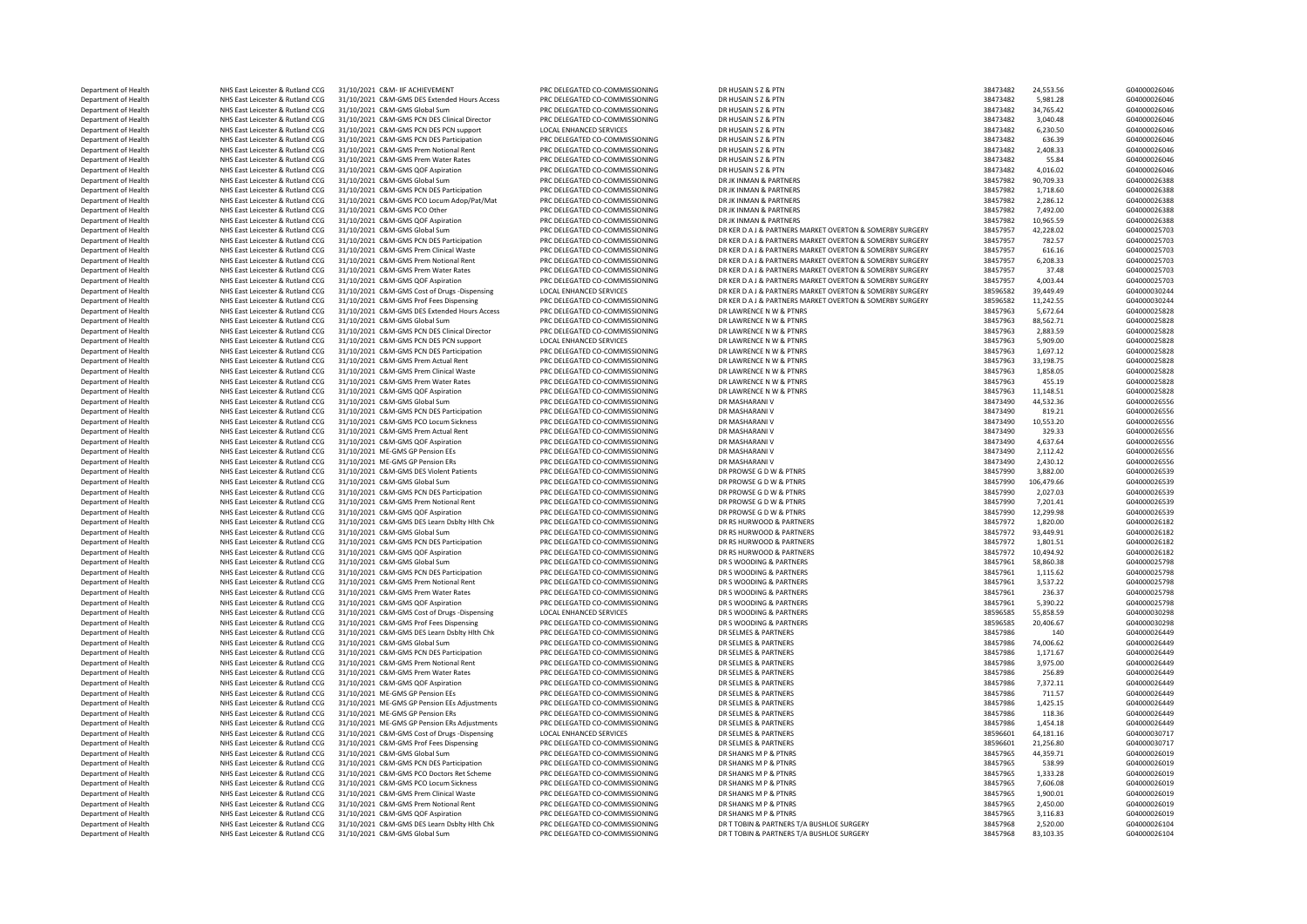| Department of Health                         | NHS East Leicester & Rutland CCG                                     | 31/10/2021 C&M- IIF ACHIEVEMENT                                               | PRC DELEGATED CO-COMMISSIONING                                   | DR HUSAIN S Z & PTN                                      | 38473482             | 24,553.56             | G04000026046                 |
|----------------------------------------------|----------------------------------------------------------------------|-------------------------------------------------------------------------------|------------------------------------------------------------------|----------------------------------------------------------|----------------------|-----------------------|------------------------------|
| Department of Health                         | NHS East Leicester & Rutland CCG                                     | 31/10/2021 C&M-GMS DES Extended Hours Access                                  | PRC DELEGATED CO-COMMISSIONING                                   | DR HUSAIN S Z & PTN                                      | 38473482             | 5,981.28              | G04000026046                 |
| Department of Health                         | NHS East Leicester & Rutland CCG                                     | 31/10/2021 C&M-GMS Global Sum                                                 | PRC DELEGATED CO-COMMISSIONING                                   | DR HUSAIN S Z & PTN                                      | 38473482             | 34,765.42             | G04000026046                 |
| Department of Health                         | NHS East Leicester & Rutland CCG                                     | 31/10/2021 C&M-GMS PCN DES Clinical Director                                  | PRC DELEGATED CO-COMMISSIONING                                   | DR HUSAIN S Z & PTN                                      | 38473482             | 3,040.48              | G04000026046                 |
| Department of Health                         | NHS East Leicester & Rutland CCG                                     | 31/10/2021 C&M-GMS PCN DES PCN support                                        | LOCAL ENHANCED SERVICES                                          | DR HUSAIN S Z & PTN                                      | 38473482             | 6,230.50              | G04000026046                 |
| Department of Health                         | NHS East Leicester & Rutland CCG                                     | 31/10/2021 C&M-GMS PCN DES Participation                                      | PRC DELEGATED CO-COMMISSIONING                                   | DR HUSAIN S Z & PTN                                      | 38473482             | 636.39                | G04000026046                 |
| Department of Health                         | NHS East Leicester & Rutland CCG                                     | 31/10/2021 C&M-GMS Prem Notional Rent                                         | PRC DELEGATED CO-COMMISSIONING                                   | DR HUSAIN S Z & PTN                                      | 38473482             | 2,408.33              | G04000026046                 |
| Department of Health                         | NHS East Leicester & Rutland CCG                                     | 31/10/2021 C&M-GMS Prem Water Rates                                           | PRC DELEGATED CO-COMMISSIONING                                   | DR HUSAIN S Z & PTN                                      | 38473482             | 55.84                 | G04000026046                 |
| Department of Health                         | NHS East Leicester & Rutland CCG                                     | 31/10/2021 C&M-GMS QOF Aspiration                                             | PRC DELEGATED CO-COMMISSIONING                                   | DR HUSAIN S Z & PTN                                      | 38473482             | 4,016.02              | G04000026046                 |
| Department of Health                         | NHS East Leicester & Rutland CCG                                     | 31/10/2021 C&M-GMS Global Sum                                                 | PRC DELEGATED CO-COMMISSIONING                                   | DR JK INMAN & PARTNERS                                   | 38457982             | 90.709.33             | G04000026388                 |
| Department of Health                         | NHS East Leicester & Rutland CCG                                     | 31/10/2021 C&M-GMS PCN DES Participation                                      | PRC DELEGATED CO-COMMISSIONING                                   | DR JK INMAN & PARTNERS                                   | 38457982             | 1,718.60              | G04000026388                 |
| Department of Health                         | NHS East Leicester & Rutland CCG                                     | 31/10/2021 C&M-GMS PCO Locum Adop/Pat/Mat                                     | PRC DELEGATED CO-COMMISSIONING                                   | DR JK INMAN & PARTNERS                                   | 38457982             | 2,286.12              | G04000026388                 |
| Department of Health                         | NHS East Leicester & Rutland CCG                                     | 31/10/2021 C&M-GMS PCO Other                                                  | PRC DELEGATED CO-COMMISSIONING                                   | DR JK INMAN & PARTNERS                                   | 38457982             | 7.492.00              | G04000026388                 |
| Department of Health                         | NHS East Leicester & Rutland CCG                                     | 31/10/2021 C&M-GMS QOF Aspiration                                             | PRC DELEGATED CO-COMMISSIONING                                   | DR JK INMAN & PARTNERS                                   | 38457982             | 10,965.59             | G04000026388                 |
| Department of Health                         | NHS East Leicester & Rutland CCG                                     | 31/10/2021 C&M-GMS Global Sum                                                 | PRC DELEGATED CO-COMMISSIONING                                   | DR KER D A J & PARTNERS MARKET OVERTON & SOMERBY SURGERY | 38457957             | 42,228.02             | G04000025703                 |
| Department of Health                         | NHS East Leicester & Rutland CCG                                     | 31/10/2021 C&M-GMS PCN DES Participation                                      | PRC DELEGATED CO-COMMISSIONING                                   | DR KER D A J & PARTNERS MARKET OVERTON & SOMERBY SURGERY | 38457957             | 782.57                | G04000025703                 |
| Department of Health                         | NHS East Leicester & Rutland CCG                                     | 31/10/2021 C&M-GMS Prem Clinical Waste                                        | PRC DELEGATED CO-COMMISSIONING                                   | DR KER D A J & PARTNERS MARKET OVERTON & SOMERBY SURGERY | 38457957             | 616.16                | G04000025703                 |
| Department of Health                         | NHS East Leicester & Rutland CCG                                     | 31/10/2021 C&M-GMS Prem Notional Rent                                         | PRC DELEGATED CO-COMMISSIONING                                   | DR KER D A J & PARTNERS MARKET OVERTON & SOMERBY SURGERY | 38457957             | 6,208.33              | G04000025703                 |
| Department of Health                         | NHS East Leicester & Rutland CCG                                     | 31/10/2021 C&M-GMS Prem Water Rates                                           | PRC DELEGATED CO-COMMISSIONING                                   | DR KER D A J & PARTNERS MARKET OVERTON & SOMERBY SURGERY | 38457957             | 37.48                 | G04000025703                 |
| Department of Health                         | NHS East Leicester & Rutland CCG                                     | 31/10/2021 C&M-GMS QOF Aspiration                                             | PRC DELEGATED CO-COMMISSIONING                                   | DR KER D A J & PARTNERS MARKET OVERTON & SOMERBY SURGERY | 38457957             | 4,003.44              | G04000025703                 |
| Department of Health                         | NHS East Leicester & Rutland CCG                                     | 31/10/2021 C&M-GMS Cost of Drugs -Dispensing                                  | LOCAL ENHANCED SERVICES                                          | DR KER D A J & PARTNERS MARKET OVERTON & SOMERBY SURGERY | 38596582             | 39,449.49             | G04000030244                 |
| Department of Health                         | NHS East Leicester & Rutland CCG                                     | 31/10/2021 C&M-GMS Prof Fees Dispensing                                       | PRC DELEGATED CO-COMMISSIONING                                   | DR KER D A J & PARTNERS MARKET OVERTON & SOMERBY SURGERY | 38596582             | 11.242.55             | G04000030244                 |
| Department of Health                         | NHS East Leicester & Rutland CCG                                     | 31/10/2021 C&M-GMS DES Extended Hours Access                                  | PRC DELEGATED CO-COMMISSIONING                                   | DR LAWRENCE N W & PTNRS                                  | 38457963             | 5,672.64              | G04000025828                 |
| Department of Health                         | NHS East Leicester & Rutland CCG                                     | 31/10/2021 C&M-GMS Global Sum                                                 | PRC DELEGATED CO-COMMISSIONING                                   | DR LAWRENCE N W & PTNRS                                  | 38457963             | 88,562.71             | G04000025828                 |
| Department of Health                         | NHS East Leicester & Rutland CCG                                     | 31/10/2021 C&M-GMS PCN DES Clinical Director                                  | PRC DELEGATED CO-COMMISSIONING                                   | DR LAWRENCE N W & PTNRS                                  | 38457963             | 2,883.59              | G04000025828                 |
| Department of Health                         | NHS East Leicester & Rutland CCG                                     | 31/10/2021 C&M-GMS PCN DES PCN support                                        | <b>LOCAL ENHANCED SERVICES</b>                                   | DR LAWRENCE N W & PTNRS                                  | 38457963             | 5,909.00              | G04000025828                 |
| Department of Health                         | NHS East Leicester & Rutland CCG                                     | 31/10/2021 C&M-GMS PCN DES Participation                                      | PRC DELEGATED CO-COMMISSIONING                                   | DR LAWRENCE N W & PTNRS                                  | 38457963             | 1,697.12              | G04000025828                 |
| Department of Health                         | NHS East Leicester & Rutland CCG                                     | 31/10/2021 C&M-GMS Prem Actual Rent                                           | PRC DELEGATED CO-COMMISSIONING                                   | DR LAWRENCE N W & PTNRS                                  | 38457963             | 33,198.75             | G04000025828                 |
| Department of Health                         | NHS East Leicester & Rutland CCG                                     | 31/10/2021 C&M-GMS Prem Clinical Waste                                        | PRC DELEGATED CO-COMMISSIONING                                   | DR LAWRENCE N W & PTNRS                                  | 38457963             | 1,858.05              | G04000025828                 |
| Department of Health                         | NHS East Leicester & Rutland CCG                                     | 31/10/2021 C&M-GMS Prem Water Rates                                           | PRC DELEGATED CO-COMMISSIONING                                   | DR LAWRENCE N W & PTNRS                                  | 38457963             | 455.19                | G04000025828                 |
| Department of Health                         | NHS East Leicester & Rutland CCG                                     | 31/10/2021 C&M-GMS QOF Aspiration                                             | PRC DELEGATED CO-COMMISSIONING                                   | DR LAWRENCE N W & PTNRS                                  | 38457963             | 11,148.51             | G04000025828                 |
| Department of Health                         | NHS East Leicester & Rutland CCG                                     | 31/10/2021 C&M-GMS Global Sum                                                 | PRC DELEGATED CO-COMMISSIONING                                   | DR MASHARANI V                                           | 38473490             | 44,532.36             | G04000026556                 |
| Department of Health                         | NHS East Leicester & Rutland CCG                                     | 31/10/2021 C&M-GMS PCN DES Participation                                      | PRC DELEGATED CO-COMMISSIONING                                   | DR MASHARANI V                                           | 38473490             | 819.21                | G04000026556                 |
| Department of Health                         | NHS East Leicester & Rutland CCG                                     | 31/10/2021 C&M-GMS PCO Locum Sickness                                         | PRC DELEGATED CO-COMMISSIONING                                   | DR MASHARANI V                                           | 38473490             | 10,553.20             | G04000026556                 |
| Department of Health                         | NHS East Leicester & Rutland CCG                                     | 31/10/2021 C&M-GMS Prem Actual Rent                                           | PRC DELEGATED CO-COMMISSIONING                                   | DR MASHARANI V                                           | 38473490             | 329.33                | G04000026556                 |
| Department of Health                         | NHS East Leicester & Rutland CCG                                     | 31/10/2021 C&M-GMS QOF Aspiration                                             | PRC DELEGATED CO-COMMISSIONING                                   | DR MASHARANI V                                           | 38473490             | 4,637.64              | G04000026556                 |
| Department of Health                         | NHS East Leicester & Rutland CCG                                     | 31/10/2021 ME-GMS GP Pension EEs                                              | PRC DELEGATED CO-COMMISSIONING                                   | DR MASHARANI V                                           | 38473490             | 2,112.42              | G04000026556                 |
| Department of Health                         | NHS East Leicester & Rutland CCG                                     | 31/10/2021 ME-GMS GP Pension ERs                                              | PRC DELEGATED CO-COMMISSIONING                                   | DR MASHARANI V                                           |                      |                       |                              |
|                                              | NHS East Leicester & Rutland CCG                                     | 31/10/2021 C&M-GMS DES Violent Patients                                       | PRC DELEGATED CO-COMMISSIONING                                   | DR PROWSE G D W & PTNRS                                  | 38473490             | 2,430.12<br>3,882.00  | G04000026556<br>G04000026539 |
| Department of Health<br>Department of Health | NHS Fast Leicester & Rutland CCG                                     | 31/10/2021 C&M-GMS Global Sum                                                 | PRC DELEGATED CO-COMMISSIONING                                   | DR PROWSE G D W & PTNRS                                  | 38457990<br>38457990 | 106,479.66            | G04000026539                 |
| Department of Health                         | NHS East Leicester & Rutland CCG                                     | 31/10/2021 C&M-GMS PCN DES Participation                                      | PRC DELEGATED CO-COMMISSIONING                                   | DR PROWSE G D W & PTNRS                                  | 38457990             | 2,027.03              | G04000026539                 |
|                                              | NHS East Leicester & Rutland CCG                                     | 31/10/2021 C&M-GMS Prem Notional Rent                                         | PRC DELEGATED CO-COMMISSIONING                                   | DR PROWSE G D W & PTNRS                                  |                      |                       | G04000026539                 |
| Department of Health<br>Department of Health | NHS East Leicester & Rutland CCG                                     | 31/10/2021 C&M-GMS QOF Aspiration                                             | PRC DELEGATED CO-COMMISSIONING                                   | DR PROWSE G D W & PTNRS                                  | 38457990             | 7,201.41<br>12,299.98 | G04000026539                 |
| Department of Health                         | NHS East Leicester & Rutland CCG                                     | 31/10/2021 C&M-GMS DES Learn Dsblty Hlth Chk                                  | PRC DELEGATED CO-COMMISSIONING                                   | DR RS HURWOOD & PARTNERS                                 | 38457990             | 1.820.00              | G04000026182                 |
|                                              |                                                                      |                                                                               |                                                                  |                                                          | 38457972             |                       |                              |
| Department of Health                         | NHS East Leicester & Rutland CCG<br>NHS East Leicester & Rutland CCG | 31/10/2021 C&M-GMS Global Sum                                                 | PRC DELEGATED CO-COMMISSIONING<br>PRC DELEGATED CO-COMMISSIONING | DR RS HURWOOD & PARTNERS<br>DR RS HURWOOD & PARTNERS     | 38457972             | 93,449.91             | G04000026182                 |
| Department of Health<br>Department of Health | NHS East Leicester & Rutland CCG                                     | 31/10/2021 C&M-GMS PCN DES Participation<br>31/10/2021 C&M-GMS OOF Asniration | PRC DELEGATED CO-COMMISSIONING                                   | DR RS HURWOOD & PARTNERS                                 | 38457972             | 1,801.51<br>10.494.92 | G04000026182<br>G04000026182 |
|                                              |                                                                      |                                                                               |                                                                  |                                                          | 38457972             |                       |                              |
| Department of Health                         | NHS East Leicester & Rutland CCG                                     | 31/10/2021 C&M-GMS Global Sum<br>31/10/2021 C&M-GMS PCN DES Particination     | PRC DELEGATED CO-COMMISSIONING<br>PRC DELEGATED CO-COMMISSIONING | DR S WOODING & PARTNERS<br>DR S WOODING & PARTNERS       | 38457961             | 58,860.38             | G04000025798                 |
| Department of Health<br>Denartment of Health | NHS East Leicester & Rutland CCG<br>NHS Fast Leicester & Rutland CCG | 31/10/2021 C&M-GMS Prem Notional Rent                                         | PRC DELEGATED CO-COMMISSIONING                                   | DR S WOODING & PARTNERS                                  | 38457961             | 1,115.62              | G04000025798<br>G04000025798 |
|                                              |                                                                      |                                                                               |                                                                  |                                                          | 38457961             | 3,537.22              |                              |
| Department of Health                         | NHS East Leicester & Rutland CCG                                     | 31/10/2021 C&M-GMS Prem Water Rates                                           | PRC DELEGATED CO-COMMISSIONING                                   | DR S WOODING & PARTNERS                                  | 38457961             | 236.37                | G04000025798                 |
| Department of Health                         | NHS East Leicester & Rutland CCG                                     | 31/10/2021 C&M-GMS QOF Aspiration                                             | PRC DELEGATED CO-COMMISSIONING                                   | DR S WOODING & PARTNERS                                  | 38457961             | 5,390.22              | G04000025798                 |
| Denartment of Health                         | NHS Fast Leicester & Rutland CCG                                     | 31/10/2021 C&M-GMS Cost of Drugs -Dispensing                                  | <b>LOCAL ENHANCED SERVICES</b>                                   | DR S WOODING & PARTNERS                                  | 38596585             | 55.858.59             | G04000030298                 |
| Department of Health                         | NHS East Leicester & Rutland CCG                                     | 31/10/2021 C&M-GMS Prof Fees Dispensing                                       | PRC DELEGATED CO-COMMISSIONING                                   | DR S WOODING & PARTNERS                                  | 38596585             | 20,406.67             | G04000030298                 |
| Department of Health                         | NHS East Leicester & Rutland CCG                                     | 31/10/2021 C&M-GMS DES Learn Dsblty Hlth Chk                                  | PRC DELEGATED CO-COMMISSIONING                                   | DR SELMES & PARTNERS                                     | 38457986             | 140                   | G04000026449                 |
| Denartment of Health                         | NHS Fast Leicester & Rutland CCG                                     | 31/10/2021 C&M-GMS Global Sum                                                 | PRC DELEGATED CO-COMMISSIONING                                   | DR SFI MFS & PARTNERS                                    | 38457986             | 74.006.62             | G04000026449                 |
| Department of Health                         | NHS East Leicester & Rutland CCG                                     | 31/10/2021 C&M-GMS PCN DES Participation                                      | PRC DELEGATED CO-COMMISSIONING                                   | DR SELMES & PARTNERS                                     | 38457986             | 1,171.67              | G04000026449                 |
| Department of Health                         | NHS East Leicester & Rutland CCG                                     | 31/10/2021 C&M-GMS Prem Notional Rent                                         | PRC DELEGATED CO-COMMISSIONING                                   | DR SELMES & PARTNERS                                     | 38457986             | 3,975.00              | G04000026449                 |
| Denartment of Health                         | NHS Fast Leicester & Rutland CCG                                     | 31/10/2021 C&M-GMS Prem Water Rates                                           | PRC DELEGATED CO-COMMISSIONING                                   | DR SELMES & PARTNERS                                     | 38457986             | 256.89                | G04000026449                 |
| Department of Health                         | NHS East Leicester & Rutland CCG                                     | 31/10/2021 C&M-GMS QOF Aspiration                                             | PRC DELEGATED CO-COMMISSIONING                                   | DR SELMES & PARTNERS                                     | 38457986             | 7,372.11              | G04000026449                 |
| Department of Health                         | NHS East Leicester & Rutland CCG                                     | 31/10/2021 ME-GMS GP Pension EEs                                              | PRC DELEGATED CO-COMMISSIONING                                   | DR SELMES & PARTNERS                                     | 38457986             | 711.57                | G04000026449                 |
| Department of Health                         | NHS East Leicester & Rutland CCG                                     | 31/10/2021 ME-GMS GP Pension EEs Adjustments                                  | PRC DELEGATED CO-COMMISSIONING                                   | DR SELMES & PARTNERS                                     | 38457986             | 1,425.15              | G04000026449                 |
| Department of Health                         | NHS East Leicester & Rutland CCG                                     | 31/10/2021 ME-GMS GP Pension ERs                                              | PRC DELEGATED CO-COMMISSIONING                                   | DR SELMES & PARTNERS                                     | 38457986             | 118.36                | G04000026449                 |
| Department of Health                         | NHS East Leicester & Rutland CCG                                     | 31/10/2021 ME-GMS GP Pension ERs Adjustments                                  | PRC DELEGATED CO-COMMISSIONING                                   | DR SELMES & PARTNERS                                     | 38457986             | 1,454.18              | G04000026449                 |
| Department of Health                         | NHS East Leicester & Rutland CCG                                     | 31/10/2021 C&M-GMS Cost of Drugs -Dispensing                                  | LOCAL ENHANCED SERVICES                                          | DR SELMES & PARTNERS                                     | 38596601             | 64,181.16             | G04000030717                 |
| Department of Health                         | NHS East Leicester & Rutland CCG                                     | 31/10/2021 C&M-GMS Prof Fees Dispensing                                       | PRC DELEGATED CO-COMMISSIONING                                   | DR SELMES & PARTNERS                                     | 38596601             | 21,256.80             | G04000030717                 |
| Department of Health                         | NHS East Leicester & Rutland CCG                                     | 31/10/2021 C&M-GMS Global Sum                                                 | PRC DELEGATED CO-COMMISSIONING                                   | DR SHANKS M P & PTNRS                                    | 38457965             | 44,359.71             | G04000026019                 |
| Department of Health                         | NHS East Leicester & Rutland CCG                                     | 31/10/2021 C&M-GMS PCN DES Participation                                      | PRC DELEGATED CO-COMMISSIONING                                   | DR SHANKS M P & PTNRS                                    | 38457965             | 538.99                | G04000026019                 |
| Department of Health                         | NHS East Leicester & Rutland CCG                                     | 31/10/2021 C&M-GMS PCO Doctors Ret Scheme                                     | PRC DELEGATED CO-COMMISSIONING                                   | DR SHANKS M P & PTNRS                                    | 38457965             | 1,333.28              | G04000026019                 |
| Department of Health                         | NHS East Leicester & Rutland CCG                                     | 31/10/2021 C&M-GMS PCO Locum Sickness                                         | PRC DELEGATED CO-COMMISSIONING                                   | DR SHANKS M P & PTNRS                                    | 38457965             | 7,606.08              | G04000026019                 |
| Department of Health                         | NHS East Leicester & Rutland CCG                                     | 31/10/2021 C&M-GMS Prem Clinical Waste                                        | PRC DELEGATED CO-COMMISSIONING                                   | DR SHANKS M P & PTNRS                                    | 38457965             | 1,900.01              | G04000026019                 |
| Department of Health                         | NHS East Leicester & Rutland CCG                                     | 31/10/2021 C&M-GMS Prem Notional Rent                                         | PRC DELEGATED CO-COMMISSIONING                                   | DR SHANKS M P & PTNRS                                    | 38457965             | 2,450.00              | G04000026019                 |
| Department of Health                         | NHS East Leicester & Rutland CCG                                     | 31/10/2021 C&M-GMS QOF Aspiration                                             | PRC DELEGATED CO-COMMISSIONING                                   | DR SHANKS M P & PTNRS                                    | 38457965             | 3,116.83              | G04000026019                 |
| Department of Health                         | NHS East Leicester & Rutland CCG                                     | 31/10/2021 C&M-GMS DES Learn Dsblty Hlth Chk                                  | PRC DELEGATED CO-COMMISSIONING                                   | DR T TOBIN & PARTNERS T/A BUSHLOE SURGERY                | 38457968             | 2,520.00              | G04000026104                 |
| Denartment of Health                         | NHS East Leicester & Rutland CCG                                     | 31/10/2021 C&M-GMS Global Sum                                                 | PRC DELEGATED CO-COMMISSIONING                                   | DR T TORIN & PARTNERS T/A RUSHLOF SURGERY                | 38457968             | 83 103 35             | G04000026104                 |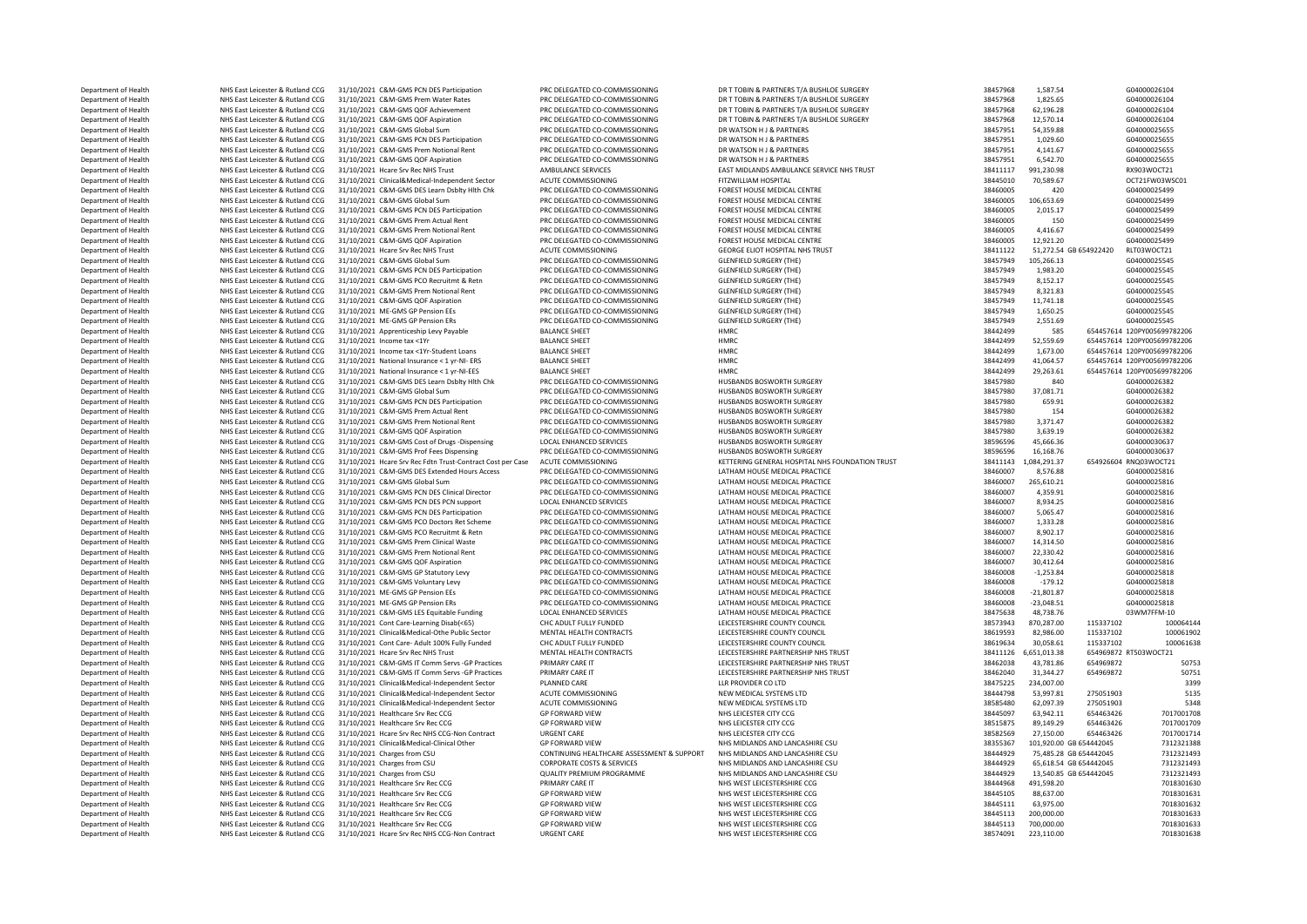Department of Health NHS East Leicester & Rutland CCG 31/10/2021 C&M-GMS PCM DES Participation PRC DELEGATED CO-COMMISSIONING DR T TOBIN & PARTNERS T/A BUSHLOE SURGERY 38457968 1,587.54 G04000026104<br>Department of Health NH 31/10/2021 C&M-GMS DES Extended Hours Access Department of Health NHS East Leicester & Rutland CCG 31/10/2021 Hcare Srv Rec NHS Trust MENTAL HEALTH CONTRACTS LEICESTERSHIRE PARTNERSHIP NHS TRUST 3841126 6,651,013.38 6651,013.38 6651,013.38 678467013 RTS 2016 2016 201

Department of Health NHS East Leicester & Rutland CCG 31/10/2021 C&M-GMS Prem Water Rates PRC DELEGATED CO-COMMISSIONING DR T TOBIN & PARTNERS T/A BUSHLOE SURGERY 38457968 1,825.65 G04000026104 Department of Health NHS East Leicester & Rutland CCG 31/10/2021 C&M-GMS QOF Achievement PRC DELEGATED CO-COMMISSIONING DR T TOBIN & PARTNERS T/A BUSHLOE SURGERY 38457968 62,196.28 634000026104 **Department of Health MHS East Leicester & Rutland CCG 31/10/2021 C&M-GMS QDF Aspiration** PRC DELEGATED CO-COMMISSIONING DR TTOBIN & PARTNERS T/A BUSHLOE SURGERY 38457968 12,570.14 G04000026104<br> **Department of Health MH** Department of Health NHS East Leicester & Rutland CCG 31/10/2021 C&M-GMS Global Sum PRC DELEGATED CO-COMMISSIONING DR WATSON H J & PARTNERS 38457951 54,359.88 G04000025655 Department of Health NHS East Leicester & Rutland CCG 31/10/2021 C&M-GMS PCN DES Participation PRC DELEGATED CO-COMMISSIONING DR WATSON H J& PARTNERS 38457951 3,029.60 38457951 1,029.60 G04000025655 Department of Health NHS East Leicester & Rutland CCG 31/10/2021 C&M-GMS Prem Notional Rent PRC DELEGATED CO-COMMISSIONING DR WATSON H J & PARTNERS 38457951 4,141.67 604000025655 Department of Health NHS East Leicester & Rutland CCG 31/10/2021 C&M-GMS QOF Aspiration PRC DELEGATED CO-COMMISSIONING DR WATSON H J & PARTNERS 38457951 6,542.70 604000025655 Department of Health NHS East Leicester & Rutland CCG 31/10/2021 Hcare Srv Rec NHS Trust AMBULANCE SERVICES EAST MIDLANDS AMBULANCE SERVICE NHS TRUST 38411117 991,230.98 RX903WOCT21 Department of Health NHS East Leicester & Rutland CCG 31/10/2021 Clinical&Medical-Independent Sector ACUTE COMMISSIONING FITZWILLIAM HOSPITAL STATE SECTOR 38445010 70,589.67 OCT21FW03WSC01 Department of Health NHS East Leicester & Rutland CCG 31/10/2021 C&M-GMS DES Learn Dsblty Hlth Chk PRC DELEGATED CO-COMMISSIONING FOREST HOUSE MEDICAL CENTRE 38460005 38460005 420 G04000025499 Department of Health NHS East Leicester & Rutland CCG 31/10/2021 C&M-GMS Global Sum PRC DELEGATED CO-COMMISSIONING FOREST HOUSE MEDICAL CENTRE 38460005 38460005 106,653.69 G04000025499 Department of Health NHS East Leicester & Rutland CCG 31/10/2021 C&M-GMS PCN DES Participation PRC DELEGATED CO-COMMISSIONING FOREST HOUSE MEDICAL CENTRE 38460005 3,015.17 38460005 2,015.17 G04000025499 Department of Health NHS East Leicester & Rutland CCG 31/10/2021 C&M-GMS Prem Actual Rent PRC DELEGATED CO-COMMISSIONING FOREST HOUSE MEDICAL CENTRE 38460005 38460005 150 604000025499 Department of Health NHS East Leicester & Rutland CCG 31/10/2021 C&M-GMS Prem Notional Rent PRC DELEGATED CO-COMMISSIONING FOREST HOUSE MEDICAL CENTRE 38460005 38460005 4,416.67 G04000025499 Department of Health NHS East Leicester & Rutland CCG 31/10/2021 C&M-GMS QOF Aspiration PRC DELEGATED CO-COMMISSIONING FOREST HOUSE MEDICAL CENTRE 38460005 38460005 12,921.20 G04000025499 Department of Health NHS East Leicester & Rutland CCG 31/10/2021 Hcare Srv Rec NHS Trust ACUTE COMMISSIONING GEORGE ELIOT HOSPITAL NHS TRUST STATES 38411122 51,272.54 GB 654922420 RLT03WOCT21 Department of Health NHS East Leicester & Rutland CCG 31/10/2021 C&M-GMS Global Sum PRC DELEGATED CO-COMMISSIONING GLENFIELD SURGERY (THE) 38457949 105,266.13 G04000025545 Department of Health NHS East Leicester & Rutland CCG 31/10/2021 C&M-GMS PCN DES Participation PRC DELEGATED CO-COMMISSIONING GLENFIELD SURGERY (THE) 38457949 1,983.20 504000025545 Department of Health NHS East Leicester & Rutland CCG 31/10/2021 C&M-GMS PCO Recruitmt & Retn PRC DELEGATED CO-COMMISSIONING GLENFIELD SURGERY (THE) 38457949 8,152.17 604000025545 Department of Health NHS East Leicester & Rutland CCG 31/10/2021 C&M-GMS Prem Notional Rent PRC DELEGATED CO-COMMISSIONING GLENFIELD SURGERY (THE) 38457949 8,321.83 604000025545 G04000025545 Department of Health NHS East Leicester & Rutland CCG 31/10/2021 C&M-GMS QOF Aspiration PRC DELEGATED CO-COMMISSIONING GLENFIELD SURGERY (THE) 38457949 11,741.18 38457949 11,741.18 G04000025545 Department of Health NHS East Leicester & Rutland CCG 31/10/2021 ME-GMS GP Pension EEs PRC DELEGATED CO-COMMISSIONING GLENFIELD SURGERY (THE) 38457949 1,650.25 604000025545 Department of Health NHS East Leicester & Rutland CCG 31/10/2021 ME-GMS GP Pension ERs PRC DELEGATED CO-COMMISSIONING GLENFIELD SURGERY (THE) 38457949 38457949 2,551.69 G04000025545 Department of Health NHS East Leicester & Rutland CCG 31/10/2021 Apprenticeship Levy Payable BALANCE SHEET HMRC 3844200 38442499 585 654457614 120PY005699782206 Department of Health NHS East Leicester & Rutland CCG 31/10/2021 Income tax <1Yr BALANCE SHEET HMRC 38442499 52,559.69 654457614 120PY005699782206 Department of Health NHS East Leicester & Rutland CCG 31/10/2021 Income tax <1Yr-Student Loans BALANCE SHEET HMRC 38442499 1,673.00 654457614 120PY005699782206 Department of Health NHS East Leicester & Rutland CCG 31/10/2021 National Insurance < 1 yr-NI- ERS BALANCE SHEET HMRC 38442499 41,064.57 654457614 120PY005699782206 Department of Health NHS East Leicester & Rutland CCG 31/10/2021 National Insurance < 1 yr-NI-EES BALANCE SHEET HMRC 3844200 38442499 29,263.61 654457614 120PY005699782206 Department of Health NHS East Leicester & Rutland CCG 31/10/2021 C&M-GMS DES Learn Dsblty Hlth Chk PRC DELEGATED CO-COMMISSIONING HUSBANDS BOSWORTH SURGERY SALL SALLS ASS7980 840 G04000026382 Department of Health NHS East Leicester & Rutland CCG 31/10/2021 C&M-GMS Global Sum PRC DELEGATED CO-COMMISSIONING HUSBANDS BOSWORTH SURGERY 33457980 37,081.71 38457980 37,081.71 G04000026382 Department of Health NHS East Leicester & Rutland CCG 31/10/2021 C&M-GMS PCN DES Participation PRC DELEGATED CO-COMMISSIONING HUSBANDS BOSWORTH SURGERY 38457980 559.91 58457980 659.91 604000026382 Department of Health NHS East Leicester & Rutland CCG 31/10/2021 C&M-GMS Prem Actual Rent PRC DELEGATED CO-COMMISSIONING HUSBANDS BOSWORTH SURGERY 38457980 38457980 154 G04000026382 Department of Health NHS East Leicester & Rutland CCG 31/10/2021 C&M-GMS Prem Notional Rent PRC DELEGATED CO-COMMISSIONING HUSBANDS BOSWORTH SURGERY 30371.97 38457980 3,371.47 G04000026382 Department of Health NHS East Leicester & Rutland CCG 31/10/2021 C&M-GMS QOF Aspiration PRC DELEGATED CO-COMMISSIONING HUSBANDS BOSWORTH SURGERY 38457980 3,639.19 G04000026382 Department of Health NHS East Leicester & Rutland CCG 31/10/2021 C&M-GMS Cost of Drugs -Dispensing LOCAL ENHANCED SERVICES HUSBANDS BOSWORTH SURGERY SERVICES 38596596 45,666.36 604000030637 Department of Health NHS East Leicester & Rutland CCG 31/10/2021 C&M-GMS Prof Fees Dispensing PRC DELEGATED CO-COMMISSIONING HUSBANDS BOSWORTH SURGERY THIS PROTOT AND 1859596 16,168.76 604000030637 654926604 RUGERY (GO4000 Department of Health NHS East Leicester & Rutland CCG 31/10/2021 Hcare Srv Rec Fdtn Trust-Contract Cost per Case ACUTE COMMISSIONING KETTERING GENERAL HOSPITAL NHS FOUNDATION TRUST 38411143 1,084,291.37 654926604 RNQ03WOCT Department of Health NHS East Leicester & Rutland CCG 31/10/2021 C&M-GMS Global Sum PRC DELEGATED CO-COMMISSIONING LATHAM HOUSE MEDICAL PRACTICE 38460007 365,610.21 38460007 265,610.21 G04000025816 Department of Health NHS East Leicester & Rutland CCG 31/10/2021 C&M-GMS PCN DES Clinical Director PRC DELEGATED CO-COMMISSIONING LATHAM HOUSE MEDICAL PRACTICE 38460007 4,359.91 38460007 4,359.91 G04000025816 Department of Health NHS East Leicester & Rutland CCG 31/10/2021 C&M-GMS PCN DES PCN support LOCAL ENHANCED SERVICES LATHAM HOUSE MEDICAL PRACTICE LATHAM HOUSE MEDICAL PRACTICE 38460007 8,934.25 G04000025816 Department of Health NHS East Leicester & Rutland CCG 31/10/2021 C&M-GMS PCN DES Participation PRC DELEGATED CO-COMMISSIONING LATHAM HOUSE MEDICAL PRACTICE COMPOSSIONING 38460007 5,065.47 G04000025816 Department of Health NHS East Leicester & Rutland CCG 31/10/2021 C&M-GMS PCO Doctors Ret Scheme PRC DELEGATED CO-COMMISSIONING LATHAM HOUSE MEDICAL PRACTICE 38460007 3,333.28 38460007 1,333.28 G04000025816 Department of Health NHS East Leicester & Rutland CCG 31/10/2021 C&M-GMS PCO Recruitmt & Retn PRC DELEGATED CO-COMMISSIONING LATHAM HOUSE MEDICAL PRACTICE 2010 201000225816 8,902.17 604000025816 Department of Health NHS East Leicester & Rutland CCG 31/10/2021 C&M-GMS Prem Clinical Waste PRC DELEGATED CO-COMMISSIONING LATHAM HOUSE MEDICAL PRACTICE SAMELICAL ARRACTICE 38460007 14,314.50 G04000025816 Department of Health NHS East Leicester & Rutland CCG 31/10/2021 C&M-GMS Prem Notional Rent PRC DELEGATED CO-COMMISSIONING LATHAM HOUSE MEDICAL PRACTICE 31 38460007 22,330.42 G04000025816 Department of Health NHS East Leicester & Rutland CCG 31/10/2021 C&M-GMS QOF Aspiration PRC DELEGATED CO-COMMISSIONING LATHAM HOUSE MEDICAL PRACTICE 38460007 30,412.64 38460007 30,412.64 G04000025816 Department of Health NHS East Leicester & Rutland CCG 31/10/2021 C&M-GMS GP Statutory Levy PRC DELEGATED CO-COMMISSIONING LATHAM HOUSE MEDICAL PRACTICE 38460008 -1,253.84 G04000025818 Department of Health NHS East Leicester & Rutland CCG 31/10/2021 C&M-GMS Voluntary Levy PRC DELEGATED CO-COMMISSIONING LATHAM HOUSE MEDICAL PRACTICE 38460008 -179.12 G04000025818 Department of Health NHS East Leicester & Rutland CCG 31/10/2021 ME-GMS GP Pension EEs PRC DELEGATED CO-COMMISSIONING LATHAM HOUSE MEDICAL PRACTICE 38460008 -21,801.87 G04000025818 Department of Health NHS East Leicester & Rutland CCG 31/10/2021 ME-GMS GP Pension ERs PRC DELEGATED CO-COMMISSIONING LATHAM HOUSE MEDICAL PRACTICE 23 ABSOUND 38460008 -23,048.51 G04000025818 Department of Health NHS East Leicester & Rutland CCG 31/10/2021 C&M-GMS LES Equitable Funding LOCAL ENHANCED SERVICES LATHAM HOUSE MEDICAL PRACTICE LATHAM HOUSE MEDICAL PRACTICE 38475638 48,738.76 03WM7FFM-10 Department of Health NHS East Leicester & Rutland CCG 31/10/2021 Cont Care-Learning Disab(<65) CHC ADULT FULLY FUNDED LEICESTERSHIRE COUNTY COUNCIL 38573943 870,287.00 115337102 100064144 Department of Health NHS East Leicester & Rutland CCG 31/10/2021 Clinical&Medical-Othe Public Sector MENTAL HEALTH CONTRACTS LEICESTERSHIRE COUNTY COUNCIL SAGED 38619593 82,986.00 115337102 100061902 Department of Health NHS East Leicester & Rutland CCG 31/10/2021 Cont Care- Adult 100% Fully Funded CHC ADULT FULLY FUNDED LEICESTERSHIRE COUNTY COUNCIL SERVERS AND 38619634 30,058.61 115337102 100061638<br>Department of Heal Department of Health NHS East Leicester & Rutland CCG 31/10/2021 C&M-GMS IT Comm Servs -GP Practices PRIMARY CARE IT LEICESTERSHIRE PARTNERSHIP NHS TRUST 38462038 43,781.86 654969872 50753 Department of Health NHS East Leicester & Rutland CCG 31/10/2021 C&M-GMS IT Comm Servs -GP Practices PRIMARY CARE IT LEICESTERSHIRE PARTNERSHIP NHS TRUST 38462040 31,344.27 654969872 50751 Department of Health NHS East Leicester & Rutland CCG 31/10/2021 Clinical&Medical-Independent Sector PLANNED CARE LLR PROVIDER CO LTD LLR PROVIDER CO LTD 38475225 234,007.00 38995 3399 Department of Health NHS East Leicester & Rutland CCG 31/10/2021 Clinical&Medical-Independent Sector ACUTE COMMISSIONING NEW MEDICAL SYSTEMS LTD 3364499 53,997.81 275051903 5135 Department of Health NHS East Leicester & Rutland CCG 31/10/2021 Clinical&Medical-Independent Sector ACUTE COMMISSIONING NEW MEDICAL SYSTEMS LTD 30535480 38585480 62,097.39 275051903 5348 Department of Health NHS East Leicester & Rutland CCG 31/10/2021 Healthcare Srv Rec CCG GP FORWARD VIEW NHS LEICESTER CITY CCG 38445097 53,942.11 654463426 7017001708 Department of Health NHS East Leicester & Rutland CCG 31/10/2021 Healthcare Srv Rec CCG GP FORWARD VIEW NHS LEICESTER CITY CCG 38515875 89,149.29 554463426 7017001709 Department of Health NHS East Leicester & Rutland CCG 31/10/2021 Hcare Srv Rec NHS CCG-Non Contract URGENT CARE NHS LEICESTER CITY CCG NON-SEC URGENT CARE NHS LEICESTER CITY CCG NOT DEVICES A SESSES 27,150.00 654463426 701 Department of Health NHS East Leicester & Rutland CCG 31/10/2021 Clinical&Medical-Clinical Other GP FORWARD VIEW NHS MIDLANDS AND LANCASHIRE CSU 3835367 101,920.00 GB 654442045 7312321388 Department of Health NHS East Leicester & Rutland CCG 31/10/2021 Charges from CSU CONTINUING HEALTHCARE ASSESSMENT & SUPPORT NHS MIDLANDS AND LANCASHIRE CSU 38444929 75,485.28 GB 654442045 7312321493 Department of Health NHS East Leicester & Rutland CCG 31/10/2021 Charges from CSU CORPORATE COSTS & SERVICES NHS MIDLANDS AND LANCASHIRE CSU 38444929 65,618.54 GB 654442045 7312321493 Department of Health NHS East Leicester & Rutland CCG 31/10/2021 Charges from CSU QUALITY PREMIUM PROGRAMME NHS MIDLANDS AND LANCASHIRE CSU 38444929 13,540.85 GB 654442045 7312321493 Department of Health NHS East Leicester & Rutland CCG 31/10/2021 Healthcare Srv Rec CCG PRIMARY CARE IT NHS WEST LEICESTERSHIRE CCG 38444968 491,598.20 7018301630 Department of Health NHS East Leicester & Rutland CCG 31/10/2021 Healthcare Srv Rec CCG GP FORWARD VIEW NHS WEST LEICESTERSHIRE CCG 38445105 88,637.00 7018301631 Department of Health NHS East Leicester & Rutland CCG 31/10/2021 Healthcare Srv Rec CCG GP FORWARD VIEW NHS WEST LEICESTERSHIRE CCG 38445111 63,975.00 7018301632 Department of Health NHS East Leicester & Rutland CCG 31/10/2021 Healthcare Srv Rec CCG GP FORWARD VIEW NHS WEST LEICESTERSHIRE CCG 38445113 200,000.00 38445113 200,000.00 7018301633 Department of Health NHS East Leicester & Rutland CCG 31/10/2021 Healthcare Srv Rec CCG GP FORWARD VIEW NHS WEST LEICESTERSHIRE CCG 38445113 700,000.00 7018301633 Department of Health NHS East Leicester & Rutland CCG 31/10/2021 Hcare Srv Rec NHS CCG-Non Contract URGENT CARE NHS WEST LEICESTERSHIRE CCG 38674091 223,110.00 7018301638